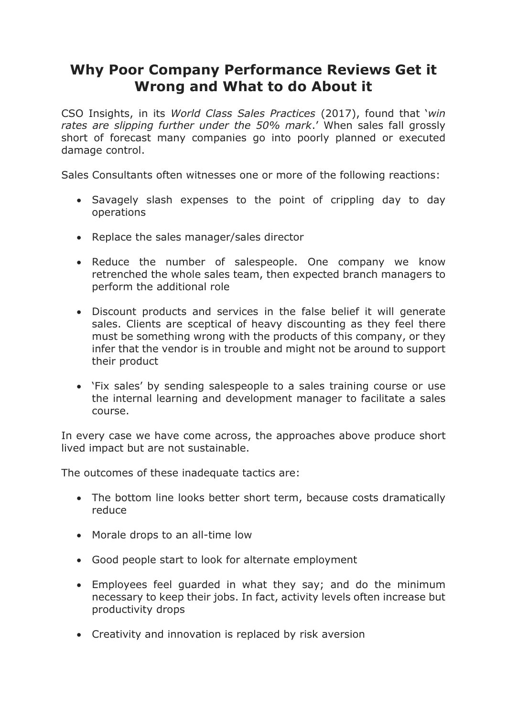## **Why Poor Company Performance Reviews Get it Wrong and What to do About it**

CSO Insights, in its *World Class Sales Practices* (2017), found that '*win rates are slipping further under the 50% mark*.' When sales fall grossly short of forecast many companies go into poorly planned or executed damage control.

Sales Consultants often witnesses one or more of the following reactions:

- Savagely slash expenses to the point of crippling day to day operations
- Replace the sales manager/sales director
- Reduce the number of salespeople. One company we know retrenched the whole sales team, then expected branch managers to perform the additional role
- Discount products and services in the false belief it will generate sales. Clients are sceptical of heavy discounting as they feel there must be something wrong with the products of this company, or they infer that the vendor is in trouble and might not be around to support their product
- 'Fix sales' by sending salespeople to a sales training course or use the internal learning and development manager to facilitate a sales course.

In every case we have come across, the approaches above produce short lived impact but are not sustainable.

The outcomes of these inadequate tactics are:

- The bottom line looks better short term, because costs dramatically reduce
- Morale drops to an all-time low
- Good people start to look for alternate employment
- Employees feel guarded in what they say; and do the minimum necessary to keep their jobs. In fact, activity levels often increase but productivity drops
- Creativity and innovation is replaced by risk aversion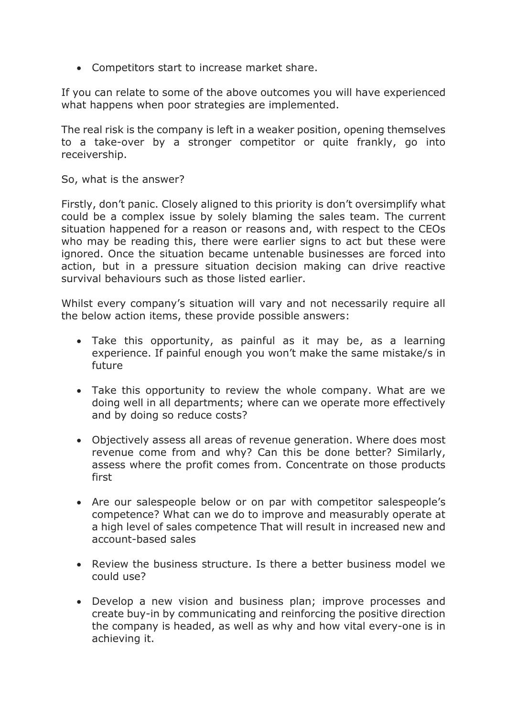Competitors start to increase market share.

If you can relate to some of the above outcomes you will have experienced what happens when poor strategies are implemented.

The real risk is the company is left in a weaker position, opening themselves to a take-over by a stronger competitor or quite frankly, go into receivership.

So, what is the answer?

Firstly, don't panic. Closely aligned to this priority is don't oversimplify what could be a complex issue by solely blaming the sales team. The current situation happened for a reason or reasons and, with respect to the CEOs who may be reading this, there were earlier signs to act but these were ignored. Once the situation became untenable businesses are forced into action, but in a pressure situation decision making can drive reactive survival behaviours such as those listed earlier.

Whilst every company's situation will vary and not necessarily require all the below action items, these provide possible answers:

- Take this opportunity, as painful as it may be, as a learning experience. If painful enough you won't make the same mistake/s in future
- Take this opportunity to review the whole company. What are we doing well in all departments; where can we operate more effectively and by doing so reduce costs?
- Objectively assess all areas of revenue generation. Where does most revenue come from and why? Can this be done better? Similarly, assess where the profit comes from. Concentrate on those products first
- Are our salespeople below or on par with competitor salespeople's competence? What can we do to improve and measurably operate at a high level of sales competence That will result in increased new and account-based sales
- Review the business structure. Is there a better business model we could use?
- Develop a new vision and business plan; improve processes and create buy-in by communicating and reinforcing the positive direction the company is headed, as well as why and how vital every-one is in achieving it.